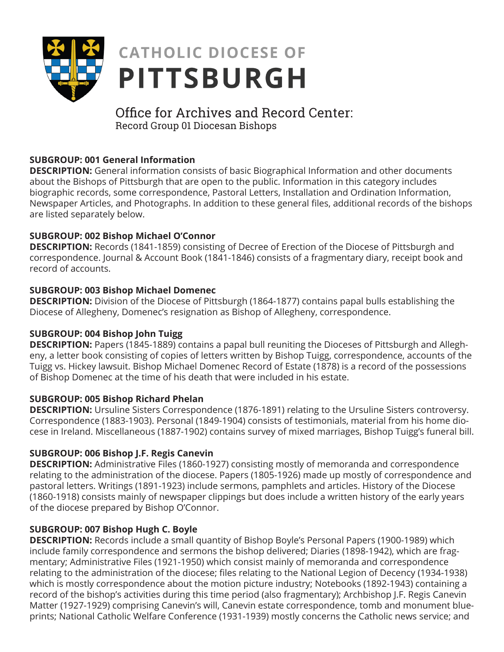

# **CATHOLIC DIOCESE OF PITTSBURGH**

## Office for Archives and Record Center: Record Group 01 Diocesan Bishops

## **SUBGROUP: 001 General Information**

**DESCRIPTION:** General information consists of basic Biographical Information and other documents about the Bishops of Pittsburgh that are open to the public. Information in this category includes biographic records, some correspondence, Pastoral Letters, Installation and Ordination Information, Newspaper Articles, and Photographs. In addition to these general files, additional records of the bishops are listed separately below.

## **SUBGROUP: 002 Bishop Michael O'Connor**

**DESCRIPTION:** Records (1841-1859) consisting of Decree of Erection of the Diocese of Pittsburgh and correspondence. Journal & Account Book (1841-1846) consists of a fragmentary diary, receipt book and record of accounts.

## **SUBGROUP: 003 Bishop Michael Domenec**

**DESCRIPTION:** Division of the Diocese of Pittsburgh (1864-1877) contains papal bulls establishing the Diocese of Allegheny, Domenec's resignation as Bishop of Allegheny, correspondence.

#### **SUBGROUP: 004 Bishop John Tuigg**

**DESCRIPTION:** Papers (1845-1889) contains a papal bull reuniting the Dioceses of Pittsburgh and Allegheny, a letter book consisting of copies of letters written by Bishop Tuigg, correspondence, accounts of the Tuigg vs. Hickey lawsuit. Bishop Michael Domenec Record of Estate (1878) is a record of the possessions of Bishop Domenec at the time of his death that were included in his estate.

## **SUBGROUP: 005 Bishop Richard Phelan**

**DESCRIPTION:** Ursuline Sisters Correspondence (1876-1891) relating to the Ursuline Sisters controversy. Correspondence (1883-1903). Personal (1849-1904) consists of testimonials, material from his home diocese in Ireland. Miscellaneous (1887-1902) contains survey of mixed marriages, Bishop Tuigg's funeral bill.

## **SUBGROUP: 006 Bishop J.F. Regis Canevin**

**DESCRIPTION:** Administrative Files (1860-1927) consisting mostly of memoranda and correspondence relating to the administration of the diocese. Papers (1805-1926) made up mostly of correspondence and pastoral letters. Writings (1891-1923) include sermons, pamphlets and articles. History of the Diocese (1860-1918) consists mainly of newspaper clippings but does include a written history of the early years of the diocese prepared by Bishop O'Connor.

## **SUBGROUP: 007 Bishop Hugh C. Boyle**

**DESCRIPTION:** Records include a small quantity of Bishop Boyle's Personal Papers (1900-1989) which include family correspondence and sermons the bishop delivered; Diaries (1898-1942), which are fragmentary; Administrative Files (1921-1950) which consist mainly of memoranda and correspondence relating to the administration of the diocese; files relating to the National Legion of Decency (1934-1938) which is mostly correspondence about the motion picture industry; Notebooks (1892-1943) containing a record of the bishop's activities during this time period (also fragmentary); Archbishop J.F. Regis Canevin Matter (1927-1929) comprising Canevin's will, Canevin estate correspondence, tomb and monument blueprints; National Catholic Welfare Conference (1931-1939) mostly concerns the Catholic news service; and